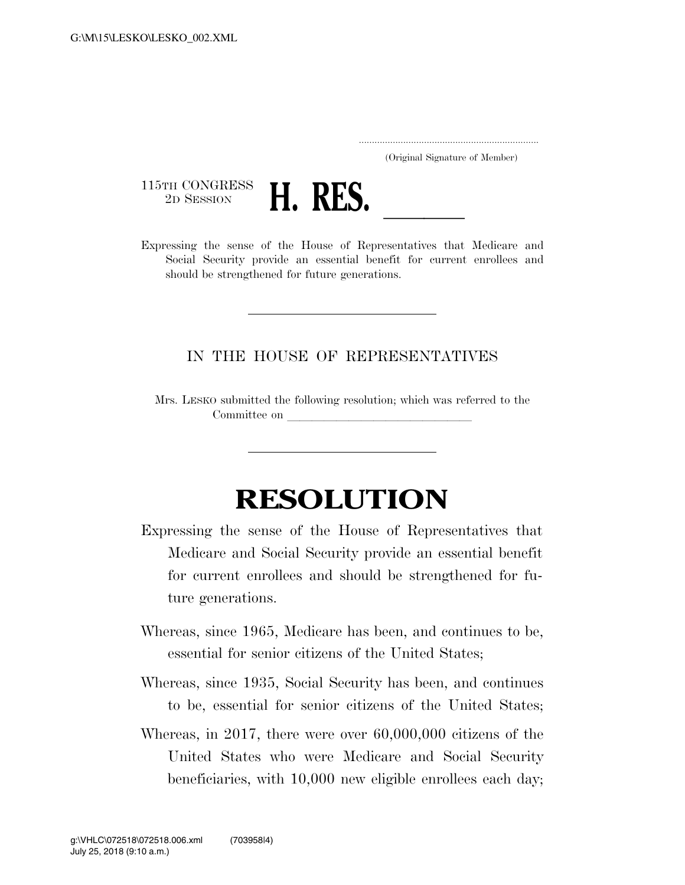..................................................................... (Original Signature of Member)

115TH CONGRESS<br>2D SESSION



2D SESSION **H. RES.** <u>Lexpressing</u> the sense of the House of Representatives that Medicare and Social Security provide an essential benefit for current enrollees and should be strengthened for future generations.

## IN THE HOUSE OF REPRESENTATIVES

Mrs. LESKO submitted the following resolution; which was referred to the Committee on

## **RESOLUTION**

- Expressing the sense of the House of Representatives that Medicare and Social Security provide an essential benefit for current enrollees and should be strengthened for future generations.
- Whereas, since 1965, Medicare has been, and continues to be, essential for senior citizens of the United States;
- Whereas, since 1935, Social Security has been, and continues to be, essential for senior citizens of the United States;
- Whereas, in 2017, there were over 60,000,000 citizens of the United States who were Medicare and Social Security beneficiaries, with 10,000 new eligible enrollees each day;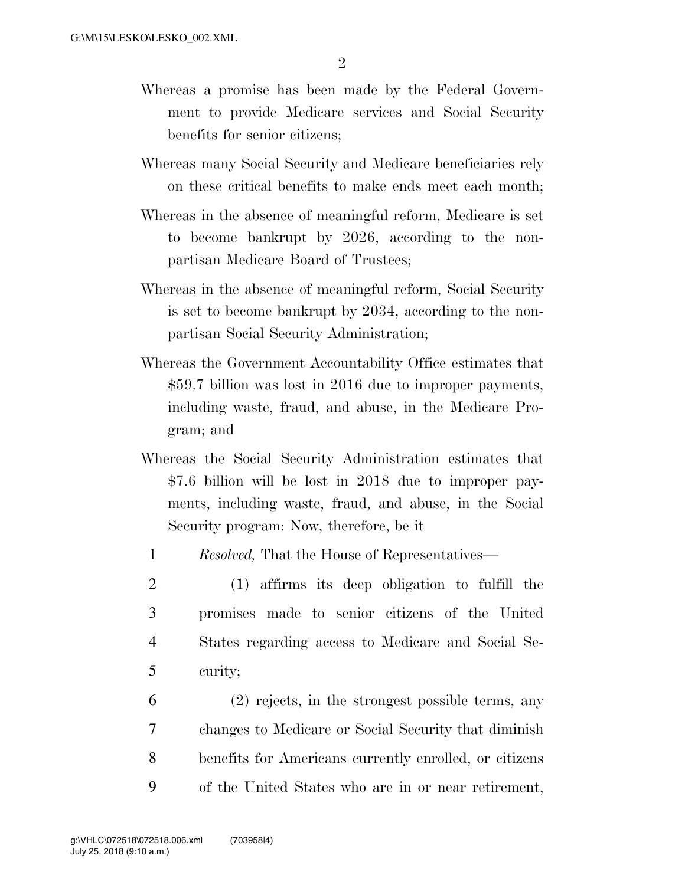- Whereas a promise has been made by the Federal Government to provide Medicare services and Social Security benefits for senior citizens;
- Whereas many Social Security and Medicare beneficiaries rely on these critical benefits to make ends meet each month;
- Whereas in the absence of meaningful reform, Medicare is set to become bankrupt by 2026, according to the nonpartisan Medicare Board of Trustees;
- Whereas in the absence of meaningful reform, Social Security is set to become bankrupt by 2034, according to the nonpartisan Social Security Administration;
- Whereas the Government Accountability Office estimates that \$59.7 billion was lost in 2016 due to improper payments, including waste, fraud, and abuse, in the Medicare Program; and
- Whereas the Social Security Administration estimates that \$7.6 billion will be lost in 2018 due to improper payments, including waste, fraud, and abuse, in the Social Security program: Now, therefore, be it
- 1 *Resolved,* That the House of Representatives—
- 2 (1) affirms its deep obligation to fulfill the 3 promises made to senior citizens of the United 4 States regarding access to Medicare and Social Se-5 curity;
- 6 (2) rejects, in the strongest possible terms, any 7 changes to Medicare or Social Security that diminish 8 benefits for Americans currently enrolled, or citizens 9 of the United States who are in or near retirement,